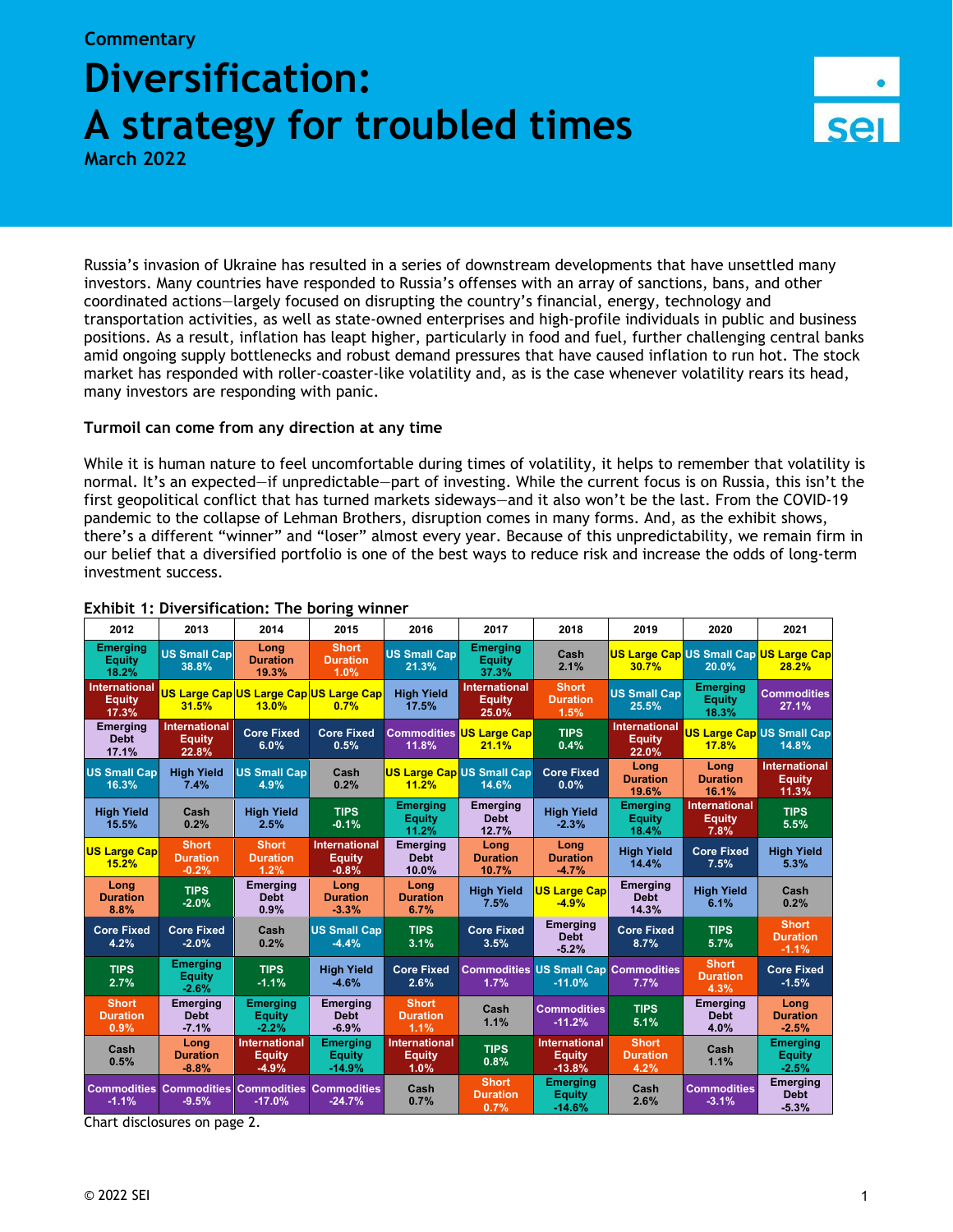## **Commentary Diversification: A strategy for troubled times**

**March 2022**

Russia's invasion of Ukraine has resulted in a series of downstream developments that have unsettled many investors. Many countries have responded to Russia's offenses with an array of sanctions, bans, and other coordinated actions—largely focused on disrupting the country's financial, energy, technology and transportation activities, as well as state-owned enterprises and high-profile individuals in public and business positions. As a result, inflation has leapt higher, particularly in food and fuel, further challenging central banks amid ongoing supply bottlenecks and robust demand pressures that have caused inflation to run hot. The stock market has responded with roller-coaster-like volatility and, as is the case whenever volatility rears its head, many investors are responding with panic.

## **Turmoil can come from any direction at any time**

While it is human nature to feel uncomfortable during times of volatility, it helps to remember that volatility is normal. It's an expected—if unpredictable—part of investing. While the current focus is on Russia, this isn't the first geopolitical conflict that has turned markets sideways—and it also won't be the last. From the COVID-19 pandemic to the collapse of Lehman Brothers, disruption comes in many forms. And, as the exhibit shows, there's a different "winner" and "loser" almost every year. Because of this unpredictability, we remain firm in our belief that a diversified portfolio is one of the best ways to reduce risk and increase the odds of long-term investment success.

| 2012                                    | 2013                                           | 2014                                             | 2015                                             | 2016                                          | 2017                                           | 2018                                                    | 2019                                           | 2020                                            | 2021                                           |
|-----------------------------------------|------------------------------------------------|--------------------------------------------------|--------------------------------------------------|-----------------------------------------------|------------------------------------------------|---------------------------------------------------------|------------------------------------------------|-------------------------------------------------|------------------------------------------------|
| <b>Emerging</b><br>Equity<br>18.2%      | <b>US Small Cap</b><br>38.8%                   | Long<br><b>Duration</b><br>19.3%                 | <b>Short</b><br><b>Duration</b><br>1.0%          | <b>US Small Cap</b><br>21.3%                  | <b>Emerging</b><br><b>Equity</b><br>37.3%      | Cash<br>2.1%                                            | 30.7%                                          | US Large Cap US Small Cap US Large Cap<br>20.0% | 28.2%                                          |
| International<br><b>Equity</b><br>17.3% | 31.5%                                          | US Large CapUS Large CapUS Large Cap<br>13.0%    | 0.7%                                             | <b>High Yield</b><br>17.5%                    | <b>International</b><br><b>Equity</b><br>25.0% | <b>Short</b><br><b>Duration</b><br>1.5%                 | <b>US Small Cap</b><br>25.5%                   | <b>Emerging</b><br><b>Equity</b><br>18.3%       | <b>Commodities</b><br>27.1%                    |
| <b>Emerging</b><br><b>Debt</b><br>17.1% | <b>International</b><br><b>Equity</b><br>22.8% | <b>Core Fixed</b><br>6.0%                        | <b>Core Fixed</b><br>0.5%                        | 11.8%                                         | <b>Commodities US Large Cap</b><br>21.1%       | <b>TIPS</b><br>0.4%                                     | <b>International</b><br><b>Equity</b><br>22.0% | <b>17.8%</b>                                    | <b>US Large Cap US Small Cap</b><br>14.8%      |
| <b>US Small Cap</b><br>16.3%            | <b>High Yield</b><br>7.4%                      | <b>US Small Cap</b><br>4.9%                      | Cash<br>0.2%                                     | 11.2%                                         | <b>US Large Cap US Small Cap</b><br>14.6%      | <b>Core Fixed</b><br>0.0%                               | Long<br><b>Duration</b><br>19.6%               | Long<br><b>Duration</b><br>16.1%                | <b>International</b><br><b>Equity</b><br>11.3% |
| <b>High Yield</b><br>15.5%              | Cash<br>0.2%                                   | <b>High Yield</b><br>2.5%                        | <b>TIPS</b><br>$-0.1%$                           | <b>Emerging</b><br><b>Equity</b><br>11.2%     | <b>Emerging</b><br><b>Debt</b><br>12.7%        | <b>High Yield</b><br>$-2.3%$                            | <b>Emerging</b><br><b>Equity</b><br>18.4%      | International<br><b>Equity</b><br>7.8%          | <b>TIPS</b><br>5.5%                            |
| <b>US Large Capl</b><br>15.2%           | <b>Short</b><br><b>Duration</b><br>$-0.2%$     | <b>Short</b><br><b>Duration</b><br>1.2%          | <b>International</b><br><b>Equity</b><br>$-0.8%$ | <b>Emerging</b><br><b>Debt</b><br>10.0%       | Long<br><b>Duration</b><br>10.7%               | Long<br><b>Duration</b><br>$-4.7%$                      | <b>High Yield</b><br>14.4%                     | <b>Core Fixed</b><br>7.5%                       | <b>High Yield</b><br>5.3%                      |
| Long<br><b>Duration</b><br>8.8%         | <b>TIPS</b><br>$-2.0%$                         | <b>Emerging</b><br><b>Debt</b><br>0.9%           | Long<br><b>Duration</b><br>$-3.3%$               | Long<br><b>Duration</b><br>6.7%               | <b>High Yield</b><br>7.5%                      | <b>US Large Cap</b><br>$-4.9%$                          | <b>Emerging</b><br><b>Debt</b><br>14.3%        | <b>High Yield</b><br>6.1%                       | Cash<br>0.2%                                   |
| <b>Core Fixed</b><br>4.2%               | <b>Core Fixed</b><br>$-2.0%$                   | Cash<br>0.2%                                     | <b>US Small Cap</b><br>$-4.4%$                   | <b>TIPS</b><br>3.1%                           | <b>Core Fixed</b><br>3.5%                      | Emerging<br><b>Debt</b><br>$-5.2%$                      | <b>Core Fixed</b><br>8.7%                      | <b>TIPS</b><br>5.7%                             | <b>Short</b><br><b>Duration</b><br>$-1.1%$     |
| <b>TIPS</b><br>2.7%                     | <b>Emerging</b><br><b>Equity</b><br>$-2.6%$    | <b>TIPS</b><br>$-1.1%$                           | <b>High Yield</b><br>$-4.6%$                     | <b>Core Fixed</b><br>2.6%                     | 1.7%                                           | <b>Commodities US Small Cap Commodities</b><br>$-11.0%$ | 7.7%                                           | <b>Short</b><br><b>Duration</b><br>4.3%         | <b>Core Fixed</b><br>$-1.5%$                   |
| <b>Short</b><br><b>Duration</b><br>0.9% | <b>Emerging</b><br><b>Debt</b><br>$-7.1%$      | <b>Emerging</b><br><b>Equity</b><br>$-2.2%$      | <b>Emerging</b><br><b>Debt</b><br>$-6.9%$        | <b>Short</b><br><b>Duration</b><br>1.1%       | Cash<br>1.1%                                   | <b>Commodities</b><br>$-11.2%$                          | <b>TIPS</b><br>5.1%                            | <b>Emerging</b><br><b>Debt</b><br>4.0%          | Long<br><b>Duration</b><br>$-2.5%$             |
| Cash<br>0.5%                            | Long<br><b>Duration</b><br>$-8.8%$             | <b>International</b><br><b>Equity</b><br>$-4.9%$ | <b>Emerging</b><br><b>Equity</b><br>$-14.9%$     | <b>International</b><br><b>Equity</b><br>1.0% | <b>TIPS</b><br>0.8%                            | <b>International</b><br><b>Equity</b><br>$-13.8%$       | <b>Short</b><br><b>Duration</b><br>4.2%        | Cash<br>1.1%                                    | <b>Emerging</b><br><b>Equity</b><br>$-2.5%$    |
| $-1.1%$                                 | <b>Commodities Commodities</b><br>$-9.5%$      | <b>Commodities Commodities</b><br>$-17.0%$       | $-24.7%$                                         | Cash<br>0.7%                                  | <b>Short</b><br><b>Duration</b><br>0.7%        | <b>Emerging</b><br><b>Equity</b><br>$-14.6%$            | Cash<br>2.6%                                   | <b>Commodities</b><br>$-3.1%$                   | <b>Emerging</b><br><b>Debt</b><br>$-5.3%$      |

## **Exhibit 1: Diversification: The boring winner**

Chart disclosures on page 2.

**Sel**